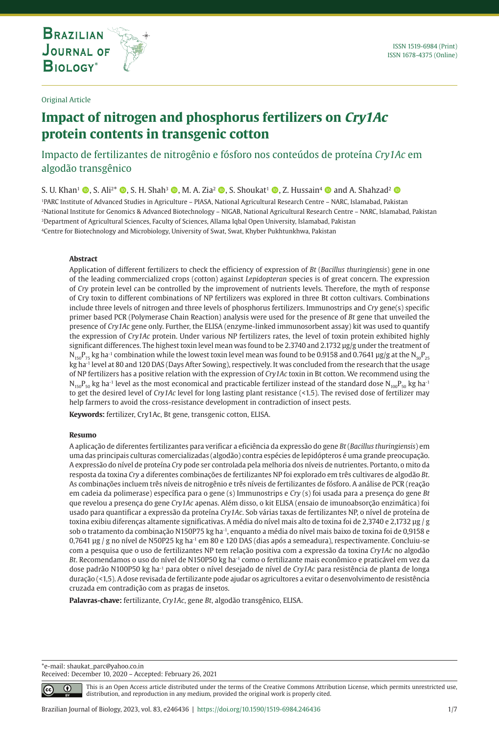**THE INTERNATIONAL JOURNAL ON GLOBAL BIODIVERSITY AND ENVIRONMENT**

#### Original Article

# **Impact of nitrogen and phosphorus fertilizers on Cry1Ac protein contents in transgenic cotton**

# Impacto de fertilizantes de nitrogênio e fósforo nos conteúdos de proteína *Cry1Ac* em algodão transgênico

S. U. Khan<sup>1</sup>  $\circ$ , S. Ali<sup>2\*</sup>  $\circ$ , S. H. Shah<sup>3</sup>  $\circ$ , M. A. Zia<sup>2</sup>  $\circ$ , S. Shoukat<sup>1</sup>  $\circ$ , Z. Hussain<sup>4</sup>  $\circ$  and A. Shahzad<sup>2</sup>  $\circ$ 1PARC Institute of Advanced Studies in Agriculture – PIASA, National Agricultural Research Centre – NARC, Islamabad, Pakistan 2National Institute for Genomics & Advanced Biotechnology – NIGAB, National Agricultural Research Centre – NARC, Islamabad, Pakistan 3Department of Agricultural Sciences, Faculty of Sciences, Allama Iqbal Open University, Islamabad, Pakistan 4Centre for Biotechnology and Microbiology, University of Swat, Swat, Khyber Pukhtunkhwa, Pakistan

#### **Abstract**

Application of different fertilizers to check the efficiency of expression of *Bt* (*Bacillus thuringiensis*) gene in one of the leading commercialized crops (cotton) against *Lepidopteran* species is of great concern. The expression of *Cry* protein level can be controlled by the improvement of nutrients levels. Therefore, the myth of response of Cry toxin to different combinations of NP fertilizers was explored in three Bt cotton cultivars. Combinations include three levels of nitrogen and three levels of phosphorus fertilizers. Immunostrips and *Cry* gene(s) specific primer based PCR (Polymerase Chain Reaction) analysis were used for the presence of *Bt* gene that unveiled the presence of *Cry1Ac* gene only. Further, the ELISA (enzyme-linked immunosorbent assay) kit was used to quantify the expression of *Cry1Ac* protein. Under various NP fertilizers rates, the level of toxin protein exhibited highly significant differences. The highest toxin level mean was found to be 2.3740 and 2.1732 ug/g under the treatment of  $N_{ice}P_{re}$  kg ha<sup>-1</sup> combination while the lowest toxin level mean was found to be 0.9158 and 0.7641 µg/g at the  $N_{en}P_{re}$ kg ha-1 level at 80 and 120 DAS (Days After Sowing), respectively. It was concluded from the research that the usage of NP fertilizers has a positive relation with the expression of *Cry1Ac* toxin in Bt cotton. We recommend using the  $N_{150}P_{50}$  kg ha<sup>-1</sup> level as the most economical and practicable fertilizer instead of the standard dose  $N_{100}P_{50}$  kg ha<sup>-1</sup> to get the desired level of *Cry1Ac* level for long lasting plant resistance (<1.5). The revised dose of fertilizer may help farmers to avoid the cross-resistance development in contradiction of insect pests.

**Keywords:** fertilizer, Cry1Ac, Bt gene, transgenic cotton, ELISA.

#### **Resumo**

A aplicação de diferentes fertilizantes para verificar a eficiência da expressão do gene *Bt* (*Bacillus thuringiensis*) em uma das principais culturas comercializadas (algodão) contra espécies de lepidópteros é uma grande preocupação. A expressão do nível de proteína *Cry* pode ser controlada pela melhoria dos níveis de nutrientes. Portanto, o mito da resposta da toxina *Cry* a diferentes combinações de fertilizantes NP foi explorado em três cultivares de algodão *Bt*. As combinações incluem três níveis de nitrogênio e três níveis de fertilizantes de fósforo. A análise de PCR (reação em cadeia da polimerase) específica para o gene (s) Immunostrips e *Cry* (s) foi usada para a presença do gene *Bt* que revelou a presença do gene *Cry1Ac* apenas. Além disso, o kit ELISA (ensaio de imunoabsorção enzimática) foi usado para quantificar a expressão da proteína *Cry1Ac*. Sob várias taxas de fertilizantes NP, o nível de proteína de toxina exibiu diferenças altamente significativas. A média do nível mais alto de toxina foi de 2,3740 e 2,1732 µg / g sob o tratamento da combinação N150P75 kg ha-1, enquanto a média do nível mais baixo de toxina foi de 0,9158 e 0,7641 µg / g no nível de N50P25 kg ha-1 em 80 e 120 DAS (dias após a semeadura), respectivamente. Concluiu-se com a pesquisa que o uso de fertilizantes NP tem relação positiva com a expressão da toxina *Cry1Ac* no algodão *Bt*. Recomendamos o uso do nível de N150P50 kg ha-1 como o fertilizante mais econômico e praticável em vez da dose padrão N100P50 kg ha-1 para obter o nível desejado de nível de *Cry1Ac* para resistência de planta de longa duração (<1,5). A dose revisada de fertilizante pode ajudar os agricultores a evitar o desenvolvimento de resistência cruzada em contradição com as pragas de insetos.

**Palavras-chave:** fertilizante, *Cry1Ac*, gene *Bt*, algodão transgênico, ELISA.

\*e-mail: shaukat\_parc@yahoo.co.in Received: December 10, 2020 – Accepted: February 26, 2021

⋒

This is an Open Access article distributed under the terms of the Creative Commons Attribution License, which permits unrestricted use, distribution, and reproduction in any medium, provided the original work is properly cited.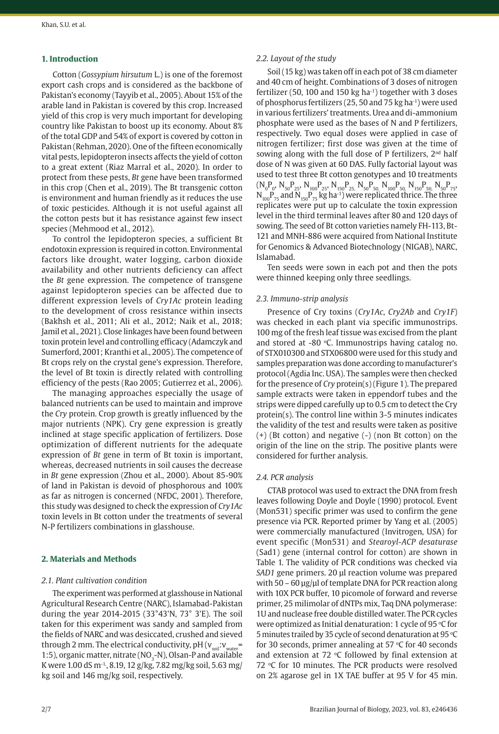#### **1. Introduction**

Cotton (*Gossypium hirsutum* L.) is one of the foremost export cash crops and is considered as the backbone of Pakistan's economy (Tayyib et al., 2005). About 15% of the arable land in Pakistan is covered by this crop. Increased yield of this crop is very much important for developing country like Pakistan to boost up its economy. About 8% of the total GDP and 54% of export is covered by cotton in Pakistan (Rehman, 2020). One of the fifteen economically vital pests, lepidopteron insects affects the yield of cotton to a great extent (Riaz Marral et al., 2020). In order to protect from these pests, *Bt* gene have been transformed in this crop (Chen et al., 2019). The Bt transgenic cotton is environment and human friendly as it reduces the use of toxic pesticides. Although it is not useful against all the cotton pests but it has resistance against few insect species (Mehmood et al., 2012).

To control the lepidopteron species, a sufficient Bt endotoxin expression is required in cotton. Environmental factors like drought, water logging, carbon dioxide availability and other nutrients deficiency can affect the *Bt* gene expression. The competence of transgene against lepidopteron species can be affected due to different expression levels of *Cry1Ac* protein leading to the development of cross resistance within insects (Bakhsh et al., 2011; Ali et al., 2012; Naik et al., 2018; Jamil et al., 2021). Close linkages have been found between toxin protein level and controlling efficacy (Adamczyk and Sumerford, 2001; Kranthi et al., 2005). The competence of Bt crops rely on the crystal gene's expression. Therefore, the level of Bt toxin is directly related with controlling efficiency of the pests (Rao 2005; Gutierrez et al., 2006).

The managing approaches especially the usage of balanced nutrients can be used to maintain and improve the *Cry* protein. Crop growth is greatly influenced by the major nutrients (NPK). Cry gene expression is greatly inclined at stage specific application of fertilizers. Dose optimization of different nutrients for the adequate expression of *Bt* gene in term of Bt toxin is important, whereas, decreased nutrients in soil causes the decrease in *Bt* gene expression (Zhou et al., 2000). About 85-90% of land in Pakistan is devoid of phosphorous and 100% as far as nitrogen is concerned (NFDC, 2001). Therefore, this study was designed to check the expression of *Cry1Ac* toxin levels in Bt cotton under the treatments of several N-P fertilizers combinations in glasshouse.

#### **2. Materials and Methods**

#### *2.1. Plant cultivation condition*

The experiment was performed at glasshouse in National Agricultural Research Centre (NARC), Islamabad-Pakistan during the year 2014-2015 (33°43'N, 73° 3'E). The soil taken for this experiment was sandy and sampled from the fields of NARC and was desiccated, crushed and sieved through 2 mm. The electrical conductivity,  $pH(v_{\text{out}}; v_{\text{out}})$ 1:5), organic matter, nitrate (NO<sub>2</sub>-N), Olsan-P and available K were 1.00 dS m<sup>-1</sup>, 8.19, 12 g/kg, 7.82 mg/kg soil, 5.63 mg/ kg soil and 146 mg/kg soil, respectively.

#### *2.2. Layout of the study*

Soil (15 kg) was taken off in each pot of 38 cm diameter and 40 cm of height. Combinations of 3 doses of nitrogen fertilizer (50, 100 and 150 kg ha-1) together with 3 doses of phosphorus fertilizers (25, 50 and 75 kg ha-1) were used in various fertilizers' treatments. Urea and di-ammonium phosphate were used as the bases of N and P fertilizers, respectively. Two equal doses were applied in case of nitrogen fertilizer; first dose was given at the time of sowing along with the full dose of P fertilizers, 2<sup>nd</sup> half dose of N was given at 60 DAS. Fully factorial layout was used to test three Bt cotton genotypes and 10 treatments  $(N_0P_0, N_{50}P_{25}, N_{100}P_{25}, N_{150}P_{25}, N_{50}P_{50}, N_{100}P_{50}, N_{150}P_{50}, N_{50}P_{75},$  $N_{100}P_{75}$  and  $N_{150}P_{75}$  kg ha<sup>-1</sup>) were replicated thrice. The three replicates were put up to calculate the toxin expression level in the third terminal leaves after 80 and 120 days of sowing. The seed of Bt cotton varieties namely FH-113, Bt-121 and MNH-886 were acquired from National Institute for Genomics & Advanced Biotechnology (NIGAB), NARC, Islamabad.

Ten seeds were sown in each pot and then the pots were thinned keeping only three seedlings.

# *2.3. Immuno-strip analysis*

Presence of Cry toxins (*Cry1Ac*, *Cry2Ab* and *Cry1F*) was checked in each plant via specific immunostrips. 100 mg of the fresh leaf tissue was excised from the plant and stored at  $-80$  °C. Immunostrips having catalog no. of STX010300 and STX06800 were used for this study and samples preparation was done according to manufacturer's protocol (Agdia Inc. USA). The samples were then checked for the presence of *Cry* protein(s) (Figure 1). The prepared sample extracts were taken in eppendorf tubes and the strips were dipped carefully up to 0.5 cm to detect the Cry protein(s). The control line within 3-5 minutes indicates the validity of the test and results were taken as positive (+) (Bt cotton) and negative (-) (non Bt cotton) on the origin of the line on the strip. The positive plants were considered for further analysis.

#### *2.4. PCR analysis*

CTAB protocol was used to extract the DNA from fresh leaves following Doyle and Doyle (1990) protocol. Event (Mon531) specific primer was used to confirm the gene presence via PCR. Reported primer by Yang et al. (2005) were commercially manufactured (Invitrogen, USA) for event specific (Mon531) and *Stearoyl-ACP desaturase* (Sad1) gene (internal control for cotton) are shown in Table 1. The validity of PCR conditions was checked via *SAD1* gene primers. 20 µl reaction volume was prepared with 50 - 60 µg/µl of template DNA for PCR reaction along with 10X PCR buffer, 10 picomole of forward and reverse primer, 25 milimolar of dNTPs mix, Taq DNA polymerase: 1U and nuclease free double distilled water. The PCR cycles were optimized as Initial denaturation: 1 cycle of 95  $\mathrm{^{\circ}C}$  for 5 minutes trailed by 35 cycle of second denaturation at 95  $\mathrm{^{\circ}C}$ for 30 seconds, primer annealing at 57  $\degree$ C for 40 seconds and extension at 72  $\degree$ C followed by final extension at 72 °C for 10 minutes. The PCR products were resolved on 2% agarose gel in 1X TAE buffer at 95 V for 45 min.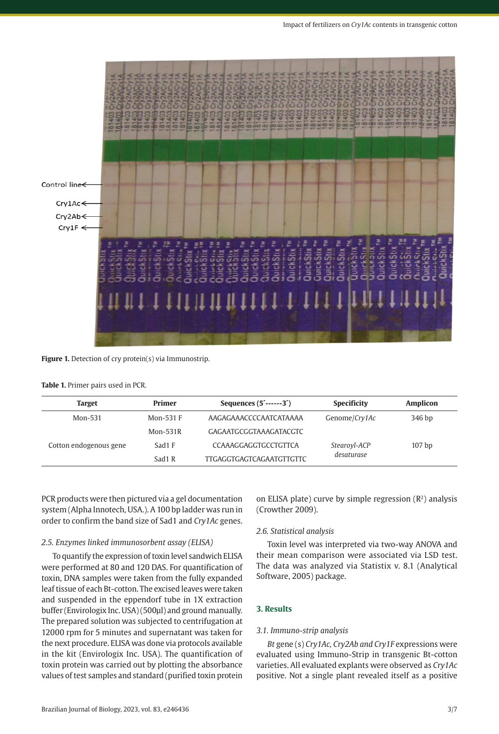

#### **Figure 1.** Detection of cry protein(s) via Immunostrip.

#### **Table 1.** Primer pairs used in PCR.

| <b>Target</b>          | <b>Primer</b> | Sequences $(5^{\text{-}} \text{---}3^{\text{-}})$ | <b>Specificity</b> | <b>Amplicon</b>   |
|------------------------|---------------|---------------------------------------------------|--------------------|-------------------|
| Mon-531                | Mon-531 F     | AAGAGAAACCCCAATCATAAAA                            | Genome/Cry1Ac      | 346 bp            |
|                        | $Mon-531R$    | GAGAATGCGGTAAAGATACGTC                            |                    |                   |
| Cotton endogenous gene | Sad1 F        | CCAAAGGAGGTGCCTGTTCA                              | Stearoyl-ACP       | 107 <sub>bp</sub> |
|                        | Sad1 R        | <b>TTGAGGTGAGTCAGAATGTTGTTC</b>                   | desaturase         |                   |

PCR products were then pictured via a gel documentation system (Alpha Innotech, USA.). A 100 bp ladder was run in order to confirm the band size of Sad1 and *Cry1Ac* genes.

#### *2.5. Enzymes linked immunosorbent assay (ELISA)*

To quantify the expression of toxin level sandwich ELISA were performed at 80 and 120 DAS. For quantification of toxin, DNA samples were taken from the fully expanded leaf tissue of each Bt-cotton. The excised leaves were taken and suspended in the eppendorf tube in 1X extraction buffer (Envirologix Inc. USA) (500µl) and ground manually. The prepared solution was subjected to centrifugation at 12000 rpm for 5 minutes and supernatant was taken for the next procedure. ELISA was done via protocols available in the kit (Envirologix Inc. USA). The quantification of toxin protein was carried out by plotting the absorbance values of test samples and standard (purified toxin protein

on ELISA plate) curve by simple regression  $(R^2)$  analysis (Crowther 2009).

# *2.6. Statistical analysis*

Toxin level was interpreted via two-way ANOVA and their mean comparison were associated via LSD test. The data was analyzed via Statistix v. 8.1 (Analytical Software, 2005) package.

#### **3. Results**

### *3.1. Immuno-strip analysis*

*Bt* gene (s) *Cry1Ac, Cry2Ab and Cry1F* expressions were evaluated using Immuno-Strip in transgenic Bt-cotton varieties. All evaluated explants were observed as *Cry1Ac* positive. Not a single plant revealed itself as a positive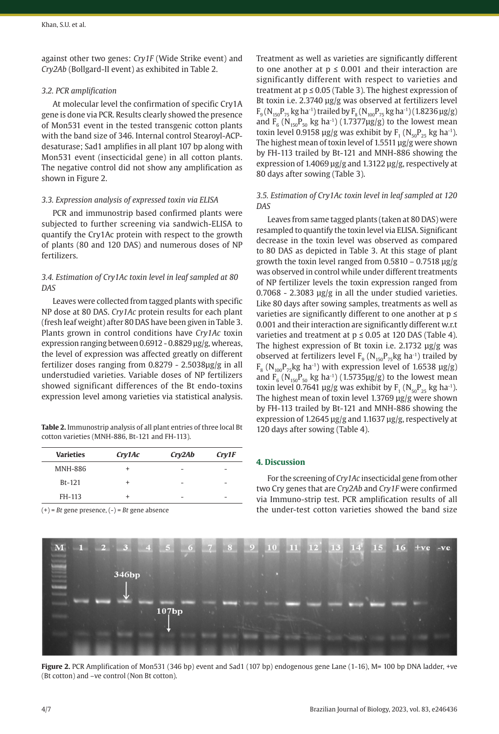against other two genes: *Cry1F* (Wide Strike event) and *Cry2Ab* (Bollgard-II event) as exhibited in Table 2.

#### *3.2. PCR amplification*

At molecular level the confirmation of specific Cry1A gene is done via PCR. Results clearly showed the presence of Mon531 event in the tested transgenic cotton plants with the band size of 346. Internal control Stearoyl-ACPdesaturase; Sad1 amplifies in all plant 107 bp along with Mon531 event (insecticidal gene) in all cotton plants. The negative control did not show any amplification as shown in Figure 2.

#### *3.3. Expression analysis of expressed toxin via ELISA*

PCR and immunostrip based confirmed plants were subjected to further screening via sandwich-ELISA to quantify the Cry1Ac protein with respect to the growth of plants (80 and 120 DAS) and numerous doses of NP fertilizers.

# *3.4. Estimation of Cry1Ac toxin level in leaf sampled at 80 DAS*

Leaves were collected from tagged plants with specific NP dose at 80 DAS. *Cry1Ac* protein results for each plant (fresh leaf weight) after 80 DAS have been given in Table 3. Plants grown in control conditions have *Cry1Ac* toxin expression ranging between 0.6912 - 0.8829 µg/g, whereas, the level of expression was affected greatly on different fertilizer doses ranging from 0.8279 - 2.5038µg/g in all understudied varieties. Variable doses of NP fertilizers showed significant differences of the Bt endo-toxins expression level among varieties via statistical analysis.

**Table 2.** Immunostrip analysis of all plant entries of three local Bt cotton varieties (MNH-886, Bt-121 and FH-113).

| <b>Varieties</b> | Cry1Ac | Cry2Ab | Cry1F                    |
|------------------|--------|--------|--------------------------|
| <b>MNH-886</b>   | +      | -      | -                        |
| $Bt-121$         | +      | -      | $\overline{\phantom{a}}$ |
| FH-113           | +      | -      | $\overline{\phantom{a}}$ |

346<sub>bp</sub>

 $107bp$ 

(+) = *Bt* gene presence, (-) = *Bt* gene absence

Treatment as well as varieties are significantly different to one another at  $p \le 0.001$  and their interaction are significantly different with respect to varieties and treatment at  $p \le 0.05$  (Table 3). The highest expression of Bt toxin i.e. 2.3740 µg/g was observed at fertilizers level  $F_9(N_{150}P_{75}$  kg ha<sup>-1</sup>) trailed by  $F_8(N_{100}P_{75}$  kg ha<sup>-1</sup>) (1.8236  $\mu$ g/g) and  $F_6$  ( $N_{150}P_{50}$  kg ha<sup>-1</sup>) (1.7377µg/g) to the lowest mean toxin level 0.9158 µg/g was exhibit by  $F_1 (N_{50}P_{25}$  kg ha<sup>-1</sup>). The highest mean of toxin level of 1.5511 µg/g were shown by FH-113 trailed by Bt-121 and MNH-886 showing the expression of 1.4069 µg/g and 1.3122 µg/g, respectively at 80 days after sowing (Table 3).

# *3.5. Estimation of Cry1Ac toxin level in leaf sampled at 120 DAS*

Leaves from same tagged plants (taken at 80 DAS) were resampled to quantify the toxin level via ELISA. Significant decrease in the toxin level was observed as compared to 80 DAS as depicted in Table 3. At this stage of plant growth the toxin level ranged from  $0.5810 - 0.7518 \text{ µg/g}$ was observed in control while under different treatments of NP fertilizer levels the toxin expression ranged from  $0.7068 - 2.3083$   $\mu$ g/g in all the under studied varieties. Like 80 days after sowing samples, treatments as well as varieties are significantly different to one another at  $p \leq$ 0.001 and their interaction are significantly different w.r.t varieties and treatment at  $p \le 0.05$  at 120 DAS (Table 4). The highest expression of Bt toxin i.e. 2.1732 µg/g was observed at fertilizers level  $F_9$  ( $N_{150}P_{75}$ kg ha<sup>-1</sup>) trailed by  $F_8$  (N<sub>100</sub>P<sub>75</sub>kg ha<sup>-1</sup>) with expression level of 1.6538  $\mu$ g/g) and  $F_6$  (N<sub>150</sub>P<sub>50</sub> kg ha<sup>-1</sup>) (1.5735µg/g) to the lowest mean toxin level 0.7641 µg/g was exhibit by  $F_1 (N_{50}P_{25}$  kg ha<sup>-1</sup>). The highest mean of toxin level 1.3769 µg/g were shown by FH-113 trailed by Bt-121 and MNH-886 showing the expression of 1.2645 µg/g and 1.1637 µg/g, respectively at 120 days after sowing (Table 4).

# **4. Discussion**

For the screening of *Cry1Ac* insecticidal gene from other two Cry genes that are *Cry2Ab* and *Cry1F* were confirmed via Immuno-strip test. PCR amplification results of all the under-test cotton varieties showed the band size



 $\overline{\mathbf{M}}$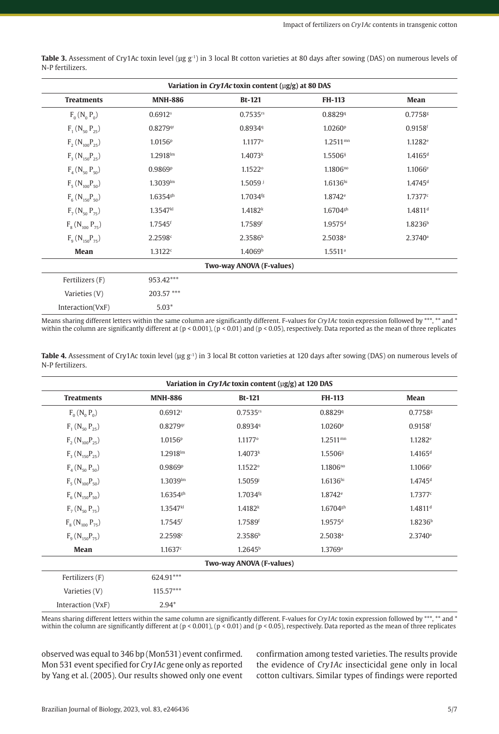| Variation in Cry1Ac toxin content (µg/g) at 80 DAS |                        |                          |                        |                       |  |
|----------------------------------------------------|------------------------|--------------------------|------------------------|-----------------------|--|
| <b>Treatments</b>                                  | <b>MNH-886</b>         | $Bt-121$                 | <b>FH-113</b>          | Mean                  |  |
| $F_0(N_0 P_0)$                                     | $0.6912$ <sup>s</sup>  | $0.7535$ <sup>rs</sup>   | 0.88299                | 0.7758g               |  |
| $F_1$ (N <sub>50</sub> P <sub>25</sub> )           | 0.8279qr               | 0.89349                  | 1.0260 <sup>p</sup>    | 0.9158f               |  |
| $F_2(N_{100}P_{25})$                               | 1.0156P                | $1.1177$ <sup>o</sup>    | $1.2511$ <sup>mn</sup> | $1.1282$ <sup>e</sup> |  |
| $F_3(N_{150}P_{25})$                               | $1.2918$ lm            | 1.4073 <sup>k</sup>      | 1.5506ij               | 1.4165 <sup>d</sup>   |  |
| $F_4(N_{50}P_{50})$                                | 0.9869P                | $1.1522^{\circ}$         | $1.1806^{no}$          | $1.1066$ <sup>e</sup> |  |
| $F_5(N_{100}P_{50})$                               | $1.3039$ lm            | $1.5059$ j               | $1.6136$ hi            | $1.4745$ <sup>d</sup> |  |
| $F_6(N_{150}P_{50})$                               | $1.6354$ <sup>gh</sup> | 1.7034 <sup>fg</sup>     | $1.8742$ <sup>e</sup>  | 1.7377c               |  |
| $F_7(N_{50}P_{75})$                                | 1.3547kl               | 1.4182 <sup>k</sup>      | $1.6704$ gh            | $1.4811$ <sup>d</sup> |  |
| $F_8$ (N <sub>100</sub> P <sub>75</sub> )          | $1.7545$ <sup>f</sup>  | 1.7589f                  | $1.9575$ <sup>d</sup>  | 1.8236 <sup>b</sup>   |  |
| $F_q(N_{150}P_{75})$                               | 2.2598c                | 2.3586 <sup>b</sup>      | $2.5038$ <sup>a</sup>  | 2.3740a               |  |
| Mean                                               | 1.3122c                | 1.4069 <sup>b</sup>      | $1.5511$ <sup>a</sup>  |                       |  |
|                                                    |                        | Two-way ANOVA (F-values) |                        |                       |  |
| Fertilizers (F)                                    | 953.42***              |                          |                        |                       |  |
| Varieties (V)                                      | 203.57***              |                          |                        |                       |  |

Table 3. Assessment of Cry1Ac toxin level (µg g<sup>-1</sup>) in 3 local Bt cotton varieties at 80 days after sowing (DAS) on numerous levels of N-P fertilizers.

Means sharing different letters within the same column are significantly different. F-values for *Cry1Ac* toxin expression followed by \*\*\*, \*\* and \* within the column are significantly different at (p < 0.001), (p < 0.01) and (p < 0.05), respectively. Data reported as the mean of three replicates

|                  | <b>Table 4.</b> Assessment of Cry1Ac toxin level ( $\mu$ g g <sup>-1</sup> ) in 3 local Bt cotton varieties at 120 days after sowing (DAS) on numerous levels of |  |  |  |  |  |
|------------------|------------------------------------------------------------------------------------------------------------------------------------------------------------------|--|--|--|--|--|
| N-P fertilizers. |                                                                                                                                                                  |  |  |  |  |  |

| Variation in Cry1Ac toxin content (µg/g) at 120 DAS |                       |                          |                        |                       |  |
|-----------------------------------------------------|-----------------------|--------------------------|------------------------|-----------------------|--|
| <b>Treatments</b>                                   | <b>MNH-886</b>        | $Bt-121$                 | <b>FH-113</b>          | Mean                  |  |
| $F_0(N_0 P_0)$                                      | $0.6912$ <sup>s</sup> | $0.7535$ <sup>rs</sup>   | 0.88299                | 0.7758g               |  |
| $F_1$ (N <sub>50</sub> P <sub>25</sub> )            | $0.8279$ qr           | 0.89349                  | 1.0260 <sup>p</sup>    | $0.9158$ <sup>f</sup> |  |
| $F_2(N_{100}P_{25})$                                | 1.0156 <sup>p</sup>   | 1.1177°                  | $1.2511$ <sup>mn</sup> | 1.1282e               |  |
| $F_3(N_{150}P_{25})$                                | $1.2918$ lm           | 1.4073 <sup>k</sup>      | 1.5506ij               | $1.4165$ <sup>d</sup> |  |
| $F_4$ (N <sub>50</sub> P <sub>50</sub> )            | 0.9869P               | $1.1522^{\circ}$         | $1.1806^{no}$          | $1.1066$ <sup>e</sup> |  |
| $F_5(N_{100}P_{50})$                                | $1.3039$ lm           | 1.5059i                  | 1.6136hi               | $1.4745$ <sup>d</sup> |  |
| $F_6(N_{150}P_{50})$                                | $1.6354$ gh           | 1.7034fg                 | 1.8742 <sup>e</sup>    | 1.7377c               |  |
| $F_7(N_{50}P_{75})$                                 | 1.3547kl              | 1.4182 <sup>k</sup>      | $1.6704$ gh            | $1.4811$ <sup>d</sup> |  |
| $F_8$ (N <sub>100</sub> P <sub>75</sub> )           | $1.7545$ <sup>f</sup> | 1.7589f                  | 1.9575 <sup>d</sup>    | 1.8236 <sup>b</sup>   |  |
| $F_9(N_{150}P_{75})$                                | 2.2598c               | 2.3586 <sup>b</sup>      | $2.5038$ <sup>a</sup>  | $2.3740$ <sup>a</sup> |  |
| Mean                                                | 1.1637c               | 1.2645 <sup>b</sup>      | 1.3769a                |                       |  |
|                                                     |                       | Two-way ANOVA (F-values) |                        |                       |  |
| Fertilizers (F)                                     | 624.91***             |                          |                        |                       |  |
| Varieties (V)                                       | $115.57***$           |                          |                        |                       |  |
| Interaction (VxF)                                   | $2.94*$               |                          |                        |                       |  |

Means sharing different letters within the same column are significantly different. F-values for *Cry1Ac* toxin expression followed by \*\*\*, \*\* and \* within the column are significantly different at (p < 0.001), (p < 0.01) and (p < 0.05), respectively. Data reported as the mean of three replicates

observed was equal to 346 bp (Mon531) event confirmed. Mon 531 event specified for *Cry1Ac* gene only as reported by Yang et al. (2005). Our results showed only one event confirmation among tested varieties. The results provide the evidence of *Cry1Ac* insecticidal gene only in local cotton cultivars. Similar types of findings were reported

Interaction(VxF) 5.03\*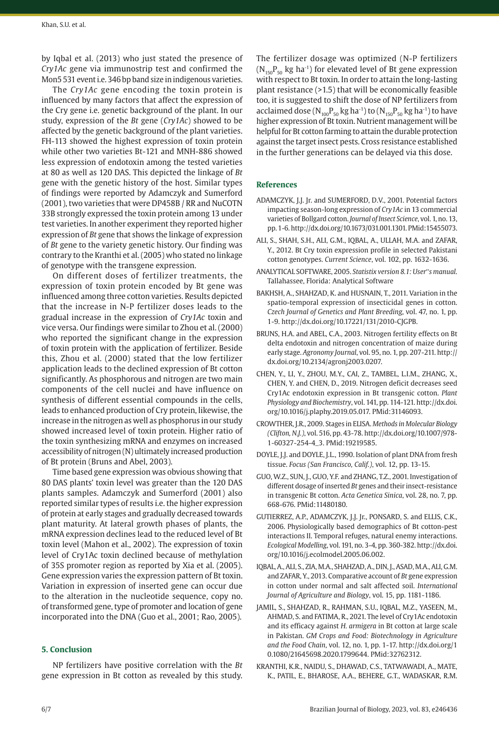by Iqbal et al. (2013) who just stated the presence of *Cry1Ac* gene via immunostrip test and confirmed the Mon5 531 event i.e. 346 bp band size in indigenous varieties.

The *Cry1Ac* gene encoding the toxin protein is influenced by many factors that affect the expression of the Cry gene i.e. genetic background of the plant. In our study, expression of the *Bt* gene (*Cry1Ac*) showed to be affected by the genetic background of the plant varieties. FH-113 showed the highest expression of toxin protein while other two varieties Bt-121 and MNH-886 showed less expression of endotoxin among the tested varieties at 80 as well as 120 DAS. This depicted the linkage of *Bt* gene with the genetic history of the host. Similar types of findings were reported by Adamczyk and Sumerford (2001), two varieties that were DP458B / RR and NuCOTN 33B strongly expressed the toxin protein among 13 under test varieties. In another experiment they reported higher expression of *Bt* gene that shows the linkage of expression of *Bt* gene to the variety genetic history. Our finding was contrary to the Kranthi et al. (2005) who stated no linkage of genotype with the transgene expression.

On different doses of fertilizer treatments, the expression of toxin protein encoded by Bt gene was influenced among three cotton varieties. Results depicted that the increase in N-P fertilizer doses leads to the gradual increase in the expression of *Cry1Ac* toxin and vice versa. Our findings were similar to Zhou et al. (2000) who reported the significant change in the expression of toxin protein with the application of fertilizer. Beside this, Zhou et al. (2000) stated that the low fertilizer application leads to the declined expression of Bt cotton significantly. As phosphorous and nitrogen are two main components of the cell nuclei and have influence on synthesis of different essential compounds in the cells, leads to enhanced production of Cry protein, likewise, the increase in the nitrogen as well as phosphorus in our study showed increased level of toxin protein. Higher ratio of the toxin synthesizing mRNA and enzymes on increased accessibility of nitrogen (N) ultimately increased production of Bt protein (Bruns and Abel, 2003).

Time based gene expression was obvious showing that 80 DAS plants' toxin level was greater than the 120 DAS plants samples. Adamczyk and Sumerford (2001) also reported similar types of results i.e. the higher expression of protein at early stages and gradually decreased towards plant maturity. At lateral growth phases of plants, the mRNA expression declines lead to the reduced level of Bt toxin level (Mahon et al., 2002). The expression of toxin level of Cry1Ac toxin declined because of methylation of 35S promoter region as reported by Xia et al. (2005). Gene expression varies the expression pattern of Bt toxin. Variation in expression of inserted gene can occur due to the alteration in the nucleotide sequence, copy no. of transformed gene, type of promoter and location of gene incorporated into the DNA (Guo et al., 2001; Rao, 2005).

# **5. Conclusion**

NP fertilizers have positive correlation with the *Bt* gene expression in Bt cotton as revealed by this study. The fertilizer dosage was optimized (N-P fertilizers  $(N_{150}P_{50}$  kg ha<sup>-1</sup>) for elevated level of Bt gene expression with respect to Bt toxin. In order to attain the long-lasting plant resistance (>1.5) that will be economically feasible too, it is suggested to shift the dose of NP fertilizers from acclaimed dose ( $N_{100}P_{50}$  kg ha<sup>-1</sup>) to ( $N_{150}P_{50}$  kg ha<sup>-1</sup>) to have higher expression of Bt toxin. Nutrient management will be helpful for Bt cotton farming to attain the durable protection against the target insect pests. Cross resistance established in the further generations can be delayed via this dose.

#### **References**

- ADAMCZYK, J.J. Jr. and SUMERFORD, D.V., 2001. Potential factors impacting season-long expression of *Cry1Ac* in 13 commercial varieties of Bollgard cotton. *Journal of Insect Science*, vol. 1, no. 13, pp. 1-6. [http://dx.doi.org/10.1673/031.001.1301.](https://doi.org/10.1673/031.001.1301) [PMid:15455073.](https://www.ncbi.nlm.nih.gov/entrez/query.fcgi?cmd=Retrieve&db=PubMed&list_uids=15455073&dopt=Abstract)
- ALI, S., SHAH, S.H., ALI, G.M., IQBAL, A., ULLAH, M.A. and ZAFAR, Y., 2012. Bt Cry toxin expression profile in selected Pakistani cotton genotypes. *Current Science*, vol. 102, pp. 1632-1636.
- ANALYTICAL SOFTWARE, 2005. *Statistix version 8.1: User*"*s manual*. Tallahassee, Florida: Analytical Software
- BAKHSH, A., SHAHZAD, K. and HUSNAIN, T., 2011. Variation in the spatio-temporal expression of insecticidal genes in cotton. *Czech Journal of Genetics and Plant Breeding*, vol. 47, no. 1, pp. 1-9. [http://dx.doi.org/10.17221/131/2010-CJGPB.](https://doi.org/10.17221/131/2010-CJGPB)
- BRUNS, H.A. and ABEL, C.A., 2003. Nitrogen fertility effects on Bt delta endotoxin and nitrogen concentration of maize during early stage. *Agronomy Journal*, vol. 95, no. 1, pp. 207-211. [http://](https://doi.org/10.2134/agronj2003.0207) [dx.doi.org/10.2134/agronj2003.0207](https://doi.org/10.2134/agronj2003.0207).
- CHEN, Y., LI, Y., ZHOU, M.Y., CAI, Z., TAMBEL, L.I.M., ZHANG, X., CHEN, Y. and CHEN, D., 2019. Nitrogen deficit decreases seed Cry1Ac endotoxin expression in Bt transgenic cotton. *Plant Physiology and Biochemistry*, vol. 141, pp. 114-121. [http://dx.doi.](https://doi.org/10.1016/j.plaphy.2019.05.017) [org/10.1016/j.plaphy.2019.05.017](https://doi.org/10.1016/j.plaphy.2019.05.017). [PMid:31146093.](https://www.ncbi.nlm.nih.gov/entrez/query.fcgi?cmd=Retrieve&db=PubMed&list_uids=31146093&dopt=Abstract)
- CROWTHER, J.R., 2009. Stages in ELISA. *Methods in Molecular Biology (Clifton, N.J.)*, vol. 516, pp. 43-78. [http://dx.doi.org/10.1007/978-](https://doi.org/10.1007/978-1-60327-254-4_3) [1-60327-254-4\\_3](https://doi.org/10.1007/978-1-60327-254-4_3). [PMid:19219585.](https://www.ncbi.nlm.nih.gov/entrez/query.fcgi?cmd=Retrieve&db=PubMed&list_uids=19219585&dopt=Abstract)
- DOYLE, J.J. and DOYLE, J.L., 1990. Isolation of plant DNA from fresh tissue. *Focus (San Francisco, Calif.)*, vol. 12, pp. 13-15.
- GUO, W.Z., SUN, J., GUO, Y.F. and ZHANG, T.Z., 2001. Investigation of different dosage of inserted *Bt* genes and their insect-resistance in transgenic Bt cotton. *Acta Genetica Sinica*, vol. 28, no. 7, pp. 668-676[. PMid:11480180.](https://www.ncbi.nlm.nih.gov/entrez/query.fcgi?cmd=Retrieve&db=PubMed&list_uids=11480180&dopt=Abstract)
- GUTIERREZ, A.P., ADAMCZYK, J.J. Jr., PONSARD, S. and ELLIS, C.K., 2006. Physiologically based demographics of Bt cotton-pest interactions II. Temporal refuges, natural enemy interactions. *Ecological Modelling*, vol. 191, no. 3-4, pp. 360-382. [http://dx.doi.](https://doi.org/10.1016/j.ecolmodel.2005.06.002) [org/10.1016/j.ecolmodel.2005.06.002](https://doi.org/10.1016/j.ecolmodel.2005.06.002).
- IQBAL, A., ALI, S., ZIA, M.A., SHAHZAD, A., DIN, J., ASAD, M.A., ALI, G.M. and ZAFAR, Y., 2013. Comparative account of *Bt* gene expression in cotton under normal and salt affected soil. *International Journal of Agriculture and Biology*, vol. 15, pp. 1181-1186.
- JAMIL, S., SHAHZAD, R., RAHMAN, S.U., IQBAL, M.Z., YASEEN, M., AHMAD, S. and FATIMA, R., 2021. The level of Cry1Ac endotoxin and its efficacy against *H. armigera* in Bt cotton at large scale in Pakistan. *GM Crops and Food: Biotechnology in Agriculture and the Food Chain*, vol. 12, no. 1, pp. 1-17. [http://dx.doi.org/1](https://doi.org/10.1080/21645698.2020.1799644) [0.1080/21645698.2020.1799644.](https://doi.org/10.1080/21645698.2020.1799644) [PMid:32762312.](https://www.ncbi.nlm.nih.gov/entrez/query.fcgi?cmd=Retrieve&db=PubMed&list_uids=32762312&dopt=Abstract)
- KRANTHI, K.R., NAIDU, S., DHAWAD, C.S., TATWAWADI, A., MATE, K., PATIL, E., BHAROSE, A.A., BEHERE, G.T., WADASKAR, R.M.